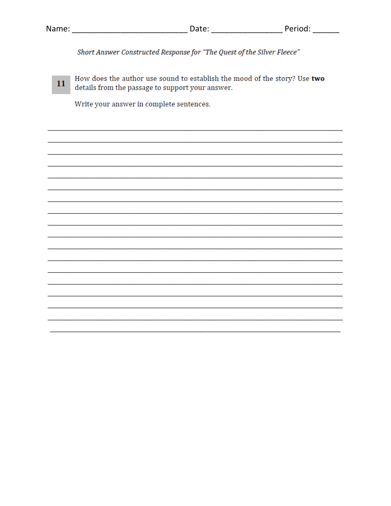| Name: |                                                                        | Date: | Period: |  |  |
|-------|------------------------------------------------------------------------|-------|---------|--|--|
|       |                                                                        |       |         |  |  |
|       | Short Answer Constructed Response for "The Quest of the Silver Fleece" |       |         |  |  |

How does the author use sound to establish the mood of the story? Use two 11 details from the passage to support your answer.

Write your answer in complete sentences.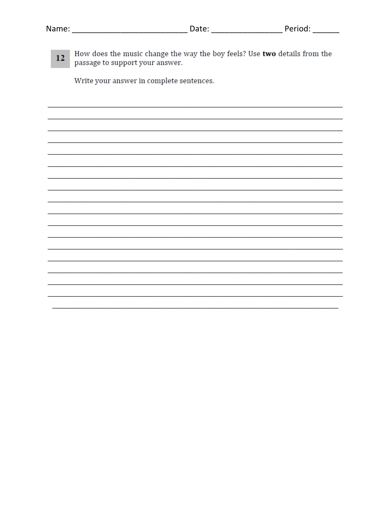| Name: | Date: | Period: |
|-------|-------|---------|
|       |       |         |

How does the music change the way the boy feels? Use two details from the  $12<sup>7</sup>$ passage to support your answer.

Write your answer in complete sentences.

 $\overline{\phantom{0}}$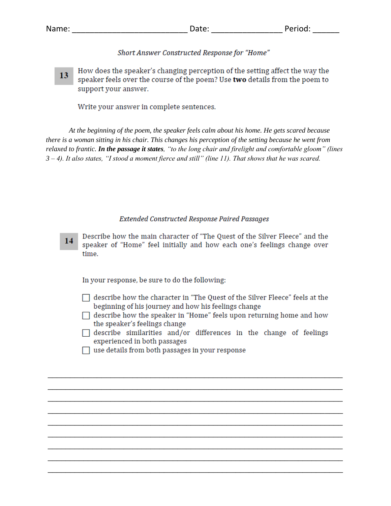## Short Answer Constructed Response for "Home"

How does the speaker's changing perception of the setting affect the way the 13 speaker feels over the course of the poem? Use two details from the poem to support your answer.

Write your answer in complete sentences.

*At the beginning of the poem, the speaker feels calm about his home. He gets scared because there is a woman sitting in his chair. This changes his perception of the setting because he went from relaxed to frantic. In the passage it states, "to the long chair and firelight and comfortable gloom" (lines 3 – 4). It also states, "I stood a moment fierce and still" (line 11). That shows that he was scared.* 

## **Extended Constructed Response Paired Passages**

Describe how the main character of "The Quest of the Silver Fleece" and the 14 speaker of "Home" feel initially and how each one's feelings change over time.

In your response, be sure to do the following:

- $\Box$  describe how the character in "The Quest of the Silver Fleece" feels at the beginning of his journey and how his feelings change
- $\Box$  describe how the speaker in "Home" feels upon returning home and how the speaker's feelings change
- $\Box$  describe similarities and/or differences in the change of feelings experienced in both passages

*\_\_\_\_\_\_\_\_\_\_\_\_\_\_\_\_\_\_\_\_\_\_\_\_\_\_\_\_\_\_\_\_\_\_\_\_\_\_\_\_\_\_\_\_\_\_\_\_\_\_\_\_\_\_\_\_\_\_\_\_\_\_\_\_\_\_ \_\_\_\_\_\_\_\_\_\_\_\_\_\_\_\_\_\_\_\_\_\_\_\_\_\_\_\_\_\_\_\_\_\_\_\_\_\_\_\_\_\_\_\_\_\_\_\_\_\_\_\_\_\_\_\_\_\_\_\_\_\_\_\_\_\_ \_\_\_\_\_\_\_\_\_\_\_\_\_\_\_\_\_\_\_\_\_\_\_\_\_\_\_\_\_\_\_\_\_\_\_\_\_\_\_\_\_\_\_\_\_\_\_\_\_\_\_\_\_\_\_\_\_\_\_\_\_\_\_\_\_\_ \_\_\_\_\_\_\_\_\_\_\_\_\_\_\_\_\_\_\_\_\_\_\_\_\_\_\_\_\_\_\_\_\_\_\_\_\_\_\_\_\_\_\_\_\_\_\_\_\_\_\_\_\_\_\_\_\_\_\_\_\_\_\_\_\_\_ \_\_\_\_\_\_\_\_\_\_\_\_\_\_\_\_\_\_\_\_\_\_\_\_\_\_\_\_\_\_\_\_\_\_\_\_\_\_\_\_\_\_\_\_\_\_\_\_\_\_\_\_\_\_\_\_\_\_\_\_\_\_\_\_\_\_ \_\_\_\_\_\_\_\_\_\_\_\_\_\_\_\_\_\_\_\_\_\_\_\_\_\_\_\_\_\_\_\_\_\_\_\_\_\_\_\_\_\_\_\_\_\_\_\_\_\_\_\_\_\_\_\_\_\_\_\_\_\_\_\_\_\_ \_\_\_\_\_\_\_\_\_\_\_\_\_\_\_\_\_\_\_\_\_\_\_\_\_\_\_\_\_\_\_\_\_\_\_\_\_\_\_\_\_\_\_\_\_\_\_\_\_\_\_\_\_\_\_\_\_\_\_\_\_\_\_\_\_\_ \_\_\_\_\_\_\_\_\_\_\_\_\_\_\_\_\_\_\_\_\_\_\_\_\_\_\_\_\_\_\_\_\_\_\_\_\_\_\_\_\_\_\_\_\_\_\_\_\_\_\_\_\_\_\_\_\_\_\_\_\_\_\_\_\_\_ \_\_\_\_\_\_\_\_\_\_\_\_\_\_\_\_\_\_\_\_\_\_\_\_\_\_\_\_\_\_\_\_\_\_\_\_\_\_\_\_\_\_\_\_\_\_\_\_\_\_\_\_\_\_\_\_\_\_\_\_\_\_\_\_\_\_*

 $\Box$  use details from both passages in your response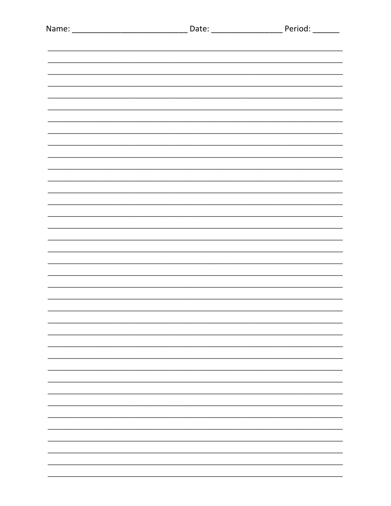|  | -                        |
|--|--------------------------|
|  | -                        |
|  | <u>.</u>                 |
|  | $\overline{\phantom{0}}$ |
|  |                          |
|  |                          |
|  |                          |
|  |                          |
|  |                          |
|  |                          |
|  |                          |